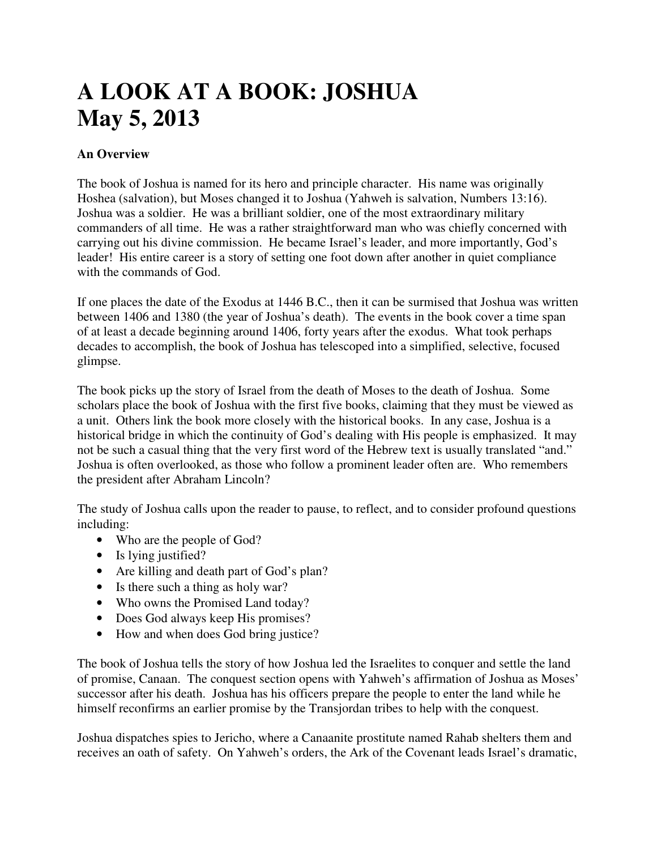# **A LOOK AT A BOOK: JOSHUA May 5, 2013**

# **An Overview**

The book of Joshua is named for its hero and principle character. His name was originally Hoshea (salvation), but Moses changed it to Joshua (Yahweh is salvation, Numbers 13:16). Joshua was a soldier. He was a brilliant soldier, one of the most extraordinary military commanders of all time. He was a rather straightforward man who was chiefly concerned with carrying out his divine commission. He became Israel's leader, and more importantly, God's leader! His entire career is a story of setting one foot down after another in quiet compliance with the commands of God.

If one places the date of the Exodus at 1446 B.C., then it can be surmised that Joshua was written between 1406 and 1380 (the year of Joshua's death). The events in the book cover a time span of at least a decade beginning around 1406, forty years after the exodus. What took perhaps decades to accomplish, the book of Joshua has telescoped into a simplified, selective, focused glimpse.

The book picks up the story of Israel from the death of Moses to the death of Joshua. Some scholars place the book of Joshua with the first five books, claiming that they must be viewed as a unit. Others link the book more closely with the historical books. In any case, Joshua is a historical bridge in which the continuity of God's dealing with His people is emphasized. It may not be such a casual thing that the very first word of the Hebrew text is usually translated "and." Joshua is often overlooked, as those who follow a prominent leader often are. Who remembers the president after Abraham Lincoln?

The study of Joshua calls upon the reader to pause, to reflect, and to consider profound questions including:

- Who are the people of God?
- Is lying justified?
- Are killing and death part of God's plan?
- Is there such a thing as holy war?
- Who owns the Promised Land today?
- Does God always keep His promises?
- How and when does God bring justice?

The book of Joshua tells the story of how Joshua led the Israelites to conquer and settle the land of promise, Canaan. The conquest section opens with Yahweh's affirmation of Joshua as Moses' successor after his death. Joshua has his officers prepare the people to enter the land while he himself reconfirms an earlier promise by the Transjordan tribes to help with the conquest.

Joshua dispatches spies to Jericho, where a Canaanite prostitute named Rahab shelters them and receives an oath of safety. On Yahweh's orders, the Ark of the Covenant leads Israel's dramatic,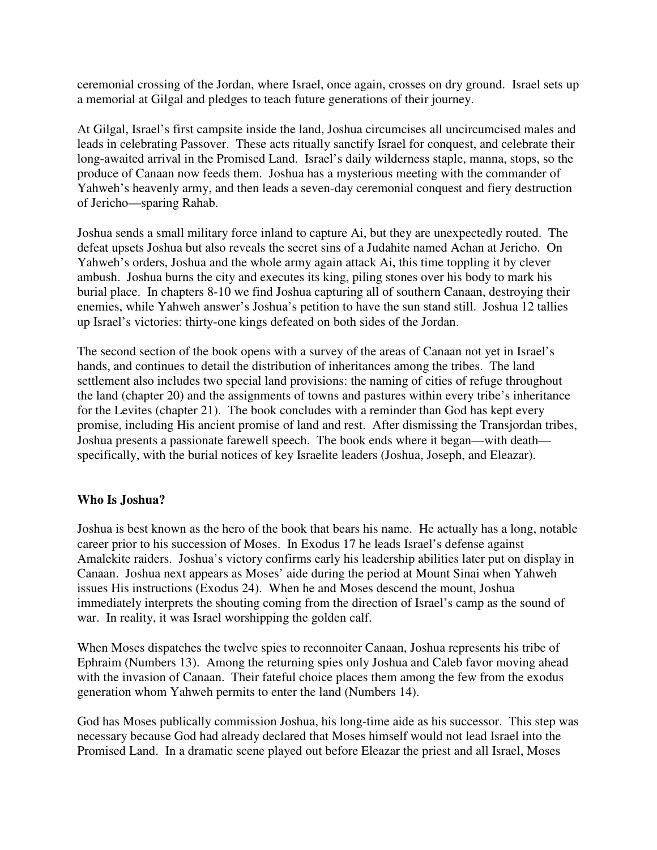ceremonial crossing of the Jordan, where Israel, once again, crosses on dry ground. Israel sets up a memorial at Gilgal and pledges to teach future generations of their journey.

At Gilgal, Israel's first campsite inside the land, Joshua circumcises all uncircumcised males and leads in celebrating Passover. These acts ritually sanctify Israel for conquest, and celebrate their long-awaited arrival in the Promised Land. Israel's daily wilderness staple, manna, stops, so the produce of Canaan now feeds them. Joshua has a mysterious meeting with the commander of Yahweh's heavenly army, and then leads a seven-day ceremonial conquest and fiery destruction of Jericho—sparing Rahab.

Joshua sends a small military force inland to capture Ai, but they are unexpectedly routed. The defeat upsets Joshua but also reveals the secret sins of a Judahite named Achan at Jericho. On Yahweh's orders, Joshua and the whole army again attack Ai, this time toppling it by clever ambush. Joshua burns the city and executes its king, piling stones over his body to mark his burial place. In chapters 8-10 we find Joshua capturing all of southern Canaan, destroying their enemies, while Yahweh answer's Joshua's petition to have the sun stand still. Joshua 12 tallies up Israel's victories: thirty-one kings defeated on both sides of the Jordan.

The second section of the book opens with a survey of the areas of Canaan not yet in Israel's hands, and continues to detail the distribution of inheritances among the tribes. The land settlement also includes two special land provisions: the naming of cities of refuge throughout the land (chapter 20) and the assignments of towns and pastures within every tribe's inheritance for the Levites (chapter 21). The book concludes with a reminder than God has kept every promise, including His ancient promise of land and rest. After dismissing the Transjordan tribes, Joshua presents a passionate farewell speech. The book ends where it began—with death specifically, with the burial notices of key Israelite leaders (Joshua, Joseph, and Eleazar).

# **Who Is Joshua?**

Joshua is best known as the hero of the book that bears his name. He actually has a long, notable career prior to his succession of Moses. In Exodus 17 he leads Israel's defense against Amalekite raiders. Joshua's victory confirms early his leadership abilities later put on display in Canaan. Joshua next appears as Moses' aide during the period at Mount Sinai when Yahweh issues His instructions (Exodus 24). When he and Moses descend the mount, Joshua immediately interprets the shouting coming from the direction of Israel's camp as the sound of war. In reality, it was Israel worshipping the golden calf.

When Moses dispatches the twelve spies to reconnoiter Canaan, Joshua represents his tribe of Ephraim (Numbers 13). Among the returning spies only Joshua and Caleb favor moving ahead with the invasion of Canaan. Their fateful choice places them among the few from the exodus generation whom Yahweh permits to enter the land (Numbers 14).

God has Moses publically commission Joshua, his long-time aide as his successor. This step was necessary because God had already declared that Moses himself would not lead Israel into the Promised Land. In a dramatic scene played out before Eleazar the priest and all Israel, Moses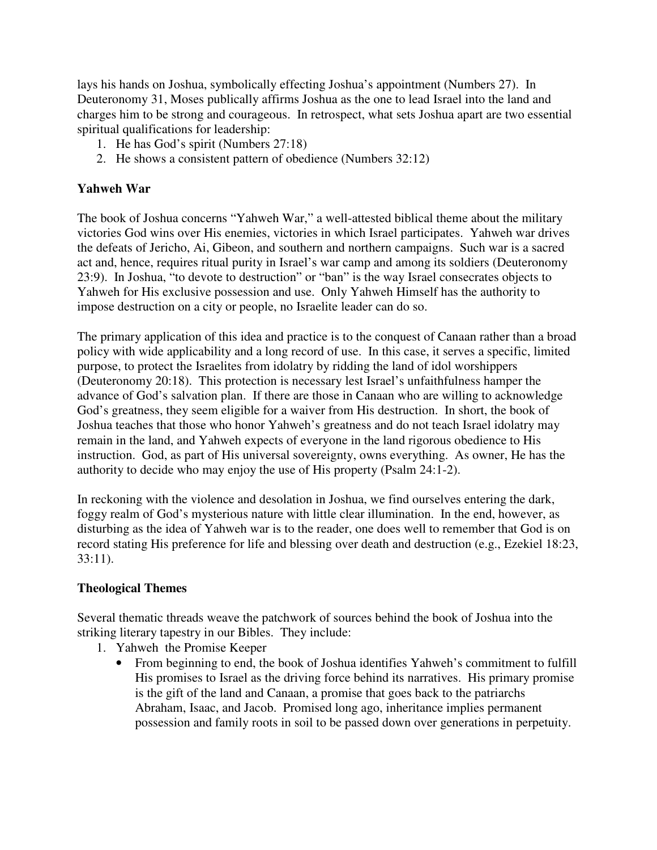lays his hands on Joshua, symbolically effecting Joshua's appointment (Numbers 27). In Deuteronomy 31, Moses publically affirms Joshua as the one to lead Israel into the land and charges him to be strong and courageous. In retrospect, what sets Joshua apart are two essential spiritual qualifications for leadership:

- 1. He has God's spirit (Numbers 27:18)
- 2. He shows a consistent pattern of obedience (Numbers 32:12)

## **Yahweh War**

The book of Joshua concerns "Yahweh War," a well-attested biblical theme about the military victories God wins over His enemies, victories in which Israel participates. Yahweh war drives the defeats of Jericho, Ai, Gibeon, and southern and northern campaigns. Such war is a sacred act and, hence, requires ritual purity in Israel's war camp and among its soldiers (Deuteronomy 23:9). In Joshua, "to devote to destruction" or "ban" is the way Israel consecrates objects to Yahweh for His exclusive possession and use. Only Yahweh Himself has the authority to impose destruction on a city or people, no Israelite leader can do so.

The primary application of this idea and practice is to the conquest of Canaan rather than a broad policy with wide applicability and a long record of use. In this case, it serves a specific, limited purpose, to protect the Israelites from idolatry by ridding the land of idol worshippers (Deuteronomy 20:18). This protection is necessary lest Israel's unfaithfulness hamper the advance of God's salvation plan. If there are those in Canaan who are willing to acknowledge God's greatness, they seem eligible for a waiver from His destruction. In short, the book of Joshua teaches that those who honor Yahweh's greatness and do not teach Israel idolatry may remain in the land, and Yahweh expects of everyone in the land rigorous obedience to His instruction. God, as part of His universal sovereignty, owns everything. As owner, He has the authority to decide who may enjoy the use of His property (Psalm 24:1-2).

In reckoning with the violence and desolation in Joshua, we find ourselves entering the dark, foggy realm of God's mysterious nature with little clear illumination. In the end, however, as disturbing as the idea of Yahweh war is to the reader, one does well to remember that God is on record stating His preference for life and blessing over death and destruction (e.g., Ezekiel 18:23, 33:11).

### **Theological Themes**

Several thematic threads weave the patchwork of sources behind the book of Joshua into the striking literary tapestry in our Bibles. They include:

- 1. Yahweh the Promise Keeper
	- From beginning to end, the book of Joshua identifies Yahweh's commitment to fulfill His promises to Israel as the driving force behind its narratives. His primary promise is the gift of the land and Canaan, a promise that goes back to the patriarchs Abraham, Isaac, and Jacob. Promised long ago, inheritance implies permanent possession and family roots in soil to be passed down over generations in perpetuity.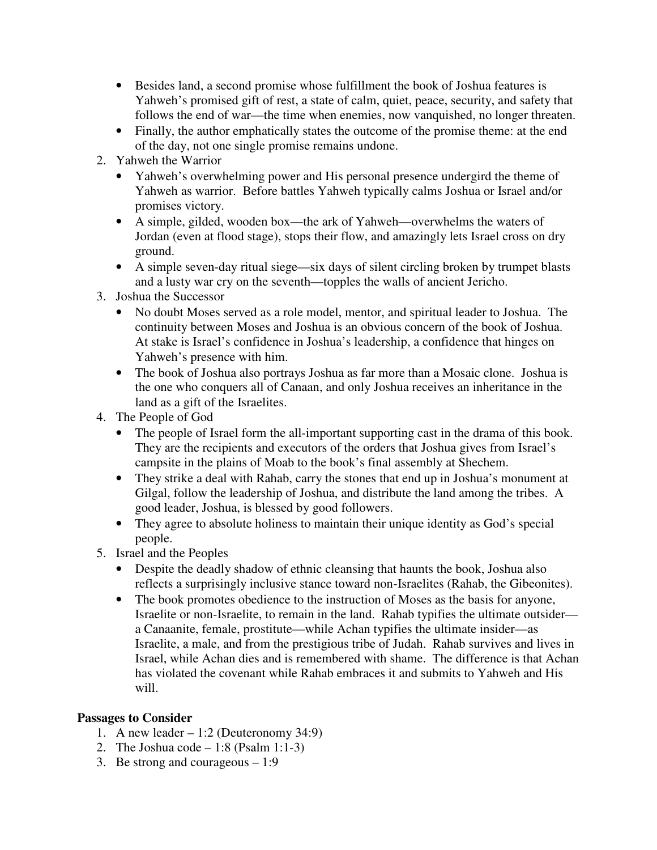- Besides land, a second promise whose fulfillment the book of Joshua features is Yahweh's promised gift of rest, a state of calm, quiet, peace, security, and safety that follows the end of war—the time when enemies, now vanquished, no longer threaten.
- Finally, the author emphatically states the outcome of the promise theme: at the end of the day, not one single promise remains undone.
- 2. Yahweh the Warrior
	- Yahweh's overwhelming power and His personal presence undergird the theme of Yahweh as warrior. Before battles Yahweh typically calms Joshua or Israel and/or promises victory.
	- A simple, gilded, wooden box—the ark of Yahweh—overwhelms the waters of Jordan (even at flood stage), stops their flow, and amazingly lets Israel cross on dry ground.
	- A simple seven-day ritual siege—six days of silent circling broken by trumpet blasts and a lusty war cry on the seventh—topples the walls of ancient Jericho.
- 3. Joshua the Successor
	- No doubt Moses served as a role model, mentor, and spiritual leader to Joshua. The continuity between Moses and Joshua is an obvious concern of the book of Joshua. At stake is Israel's confidence in Joshua's leadership, a confidence that hinges on Yahweh's presence with him.
	- The book of Joshua also portrays Joshua as far more than a Mosaic clone. Joshua is the one who conquers all of Canaan, and only Joshua receives an inheritance in the land as a gift of the Israelites.
- 4. The People of God
	- The people of Israel form the all-important supporting cast in the drama of this book. They are the recipients and executors of the orders that Joshua gives from Israel's campsite in the plains of Moab to the book's final assembly at Shechem.
	- They strike a deal with Rahab, carry the stones that end up in Joshua's monument at Gilgal, follow the leadership of Joshua, and distribute the land among the tribes. A good leader, Joshua, is blessed by good followers.
	- They agree to absolute holiness to maintain their unique identity as God's special people.
- 5. Israel and the Peoples
	- Despite the deadly shadow of ethnic cleansing that haunts the book, Joshua also reflects a surprisingly inclusive stance toward non-Israelites (Rahab, the Gibeonites).
	- The book promotes obedience to the instruction of Moses as the basis for anyone, Israelite or non-Israelite, to remain in the land. Rahab typifies the ultimate outsider a Canaanite, female, prostitute—while Achan typifies the ultimate insider—as Israelite, a male, and from the prestigious tribe of Judah. Rahab survives and lives in Israel, while Achan dies and is remembered with shame. The difference is that Achan has violated the covenant while Rahab embraces it and submits to Yahweh and His will.

# **Passages to Consider**

- 1. A new leader  $-1:2$  (Deuteronomy 34:9)
- 2. The Joshua code  $-1:8$  (Psalm 1:1-3)
- 3. Be strong and courageous 1:9